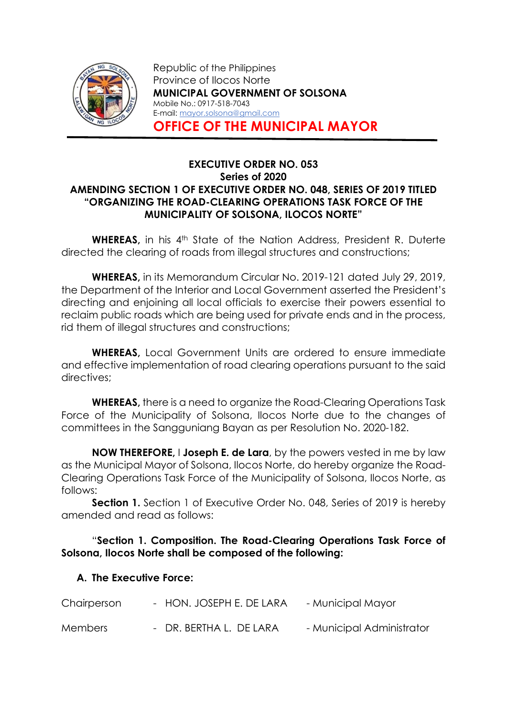

Republic of the Philippines Province of Ilocos Norte MUNICIPAL GOVERNMENT OF SOLSONA Mobile No.: 0917-518-7043 E-mail: mayor.solsona@gmail.com OFFICE OF THE MUNICIPAL MAYOR

#### EXECUTIVE ORDER NO. 053 Series of 2020 AMENDING SECTION 1 OF EXECUTIVE ORDER NO. 048, SERIES OF 2019 TITLED "ORGANIZING THE ROAD-CLEARING OPERATIONS TASK FORCE OF THE MUNICIPALITY OF SOLSONA, ILOCOS NORTE"

WHEREAS, in his 4th State of the Nation Address, President R. Duterte directed the clearing of roads from illegal structures and constructions;

WHEREAS, in its Memorandum Circular No. 2019-121 dated July 29, 2019, the Department of the Interior and Local Government asserted the President's directing and enjoining all local officials to exercise their powers essential to reclaim public roads which are being used for private ends and in the process, rid them of illegal structures and constructions;

WHEREAS, Local Government Units are ordered to ensure immediate and effective implementation of road clearing operations pursuant to the said directives;

WHEREAS, there is a need to organize the Road-Clearing Operations Task Force of the Municipality of Solsona, Ilocos Norte due to the changes of committees in the Sangguniang Bayan as per Resolution No. 2020-182.

NOW THEREFORE, I Joseph E. de Lara, by the powers vested in me by law as the Municipal Mayor of Solsona, Ilocos Norte, do hereby organize the Road-Clearing Operations Task Force of the Municipality of Solsona, Ilocos Norte, as follows:

**Section 1.** Section 1 of Executive Order No. 048, Series of 2019 is hereby amended and read as follows:

# "Section 1. Composition. The Road-Clearing Operations Task Force of Solsona, Ilocos Norte shall be composed of the following:

# A. The Executive Force:

| Chairperson    | - HON. JOSEPH E. DE LARA | - Municipal Mayor         |
|----------------|--------------------------|---------------------------|
| <b>Members</b> | - DR. BERTHA L. DE LARA  | - Municipal Administrator |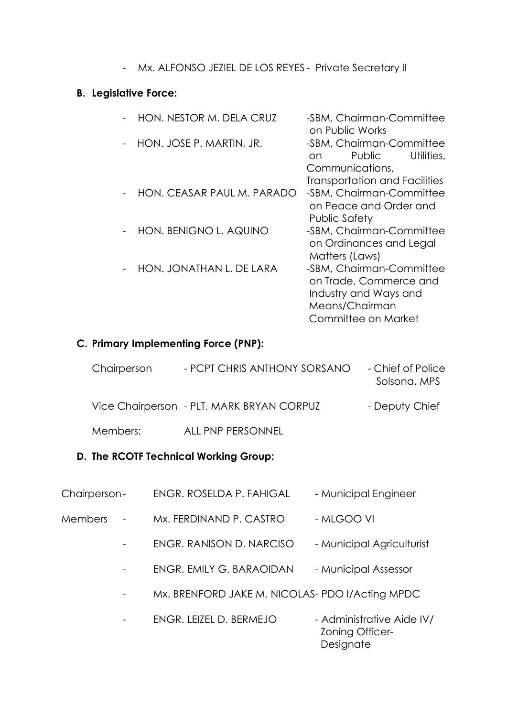- Mx. ALFONSO JEZIEL DE LOS REYES - Private Secretary II

# B. Legislative Force:

| HON. NESTOR M. DELA CRUZ   | -SBM, Chairman-Committee<br>on Public Works                                                                          |
|----------------------------|----------------------------------------------------------------------------------------------------------------------|
| HON. JOSE P. MARTIN, JR.   | -SBM, Chairman-Committee<br>Public<br>Utilities,<br>on.                                                              |
|                            | Communications,<br><b>Transportation and Facilities</b>                                                              |
| HON, CEASAR PAUL M. PARADO | -SBM, Chairman-Committee<br>on Peace and Order and<br>Public Safety                                                  |
| HON. BENIGNO L. AQUINO     | -SBM, Chairman-Committee<br>on Ordinances and Legal<br>Matters (Laws)                                                |
| HON. JONATHAN L. DE LARA   | -SBM, Chairman-Committee<br>on Trade, Commerce and<br>Industry and Ways and<br>Means/Chairman<br>Committee on Market |

# C. Primary Implementing Force (PNP):

| Chairperson | - PCPT CHRIS ANTHONY SORSANO              | - Chief of Police<br>Solsona, MPS |
|-------------|-------------------------------------------|-----------------------------------|
|             | Vice Chairperson - PLT. MARK BRYAN CORPUZ | - Deputy Chief                    |
| Members:    | ALL PNP PERSONNEL                         |                                   |

# D. The RCOTF Technical Working Group:

| Chairperson- | ENGR. ROSELDA P. FAHIGAL | - Municipal Engineer |
|--------------|--------------------------|----------------------|
|--------------|--------------------------|----------------------|

- Members Mx. FERDINAND P. CASTRO MLGOO VI
	- ENGR. RANISON D. NARCISO Municipal Agriculturist
	- ENGR. EMILY G. BARAOIDAN Municipal Assessor
	- Mx. BRENFORD JAKE M. NICOLAS- PDO I/Acting MPDC
	- ENGR. LEIZEL D. BERMEJO Administrative Aide IV/ Zoning Officer- Designate